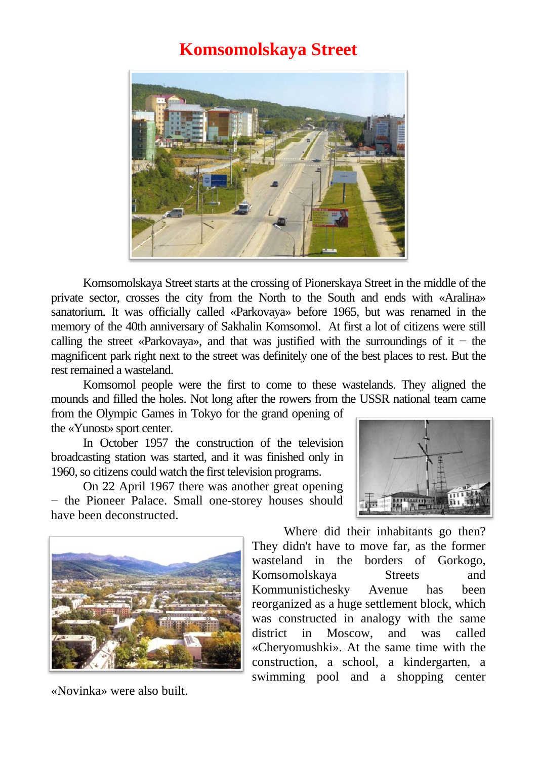## **Komsomolskaya Street**



Komsomolskaya Street starts at the crossing of Pionerskaya Street in the middle of the private sector, crosses the city from the North to the South and ends with «Araliнa» sanatorium. It was officially called «Parkovaya» before 1965, but was renamed in the memory of the 40th anniversary of Sakhalin Komsomol. At first a lot of citizens were still calling the street «Parkovaya», and that was justified with the surroundings of it – the magnificent park right next to the street was definitely one of the best places to rest. But the rest remained a wasteland.

Komsomol people were the first to come to these wastelands. They aligned the mounds and filled the holes. Not long after the rowers from the USSR national team came

from the Olympic Games in Tokyo for the grand opening of the «Yunost» sport center.

In October 1957 the construction of the television broadcasting station was started, and it was finished only in 1960, so citizens could watch the first television programs.

On 22 April 1967 there was another great opening − the Pioneer Palace. Small one-storey houses should have been deconstructed.





«Novinka» were also built.

Where did their inhabitants go then? They didn't have to move far, as the former wasteland in the borders of Gorkogo, Komsomolskaya Streets and Kommunistichesky Avenue has been reorganized as a huge settlement block, which was constructed in analogy with the same district in Moscow, and was called «Cheryomushki». At the same time with the construction, a school, a kindergarten, a swimming pool and a shopping center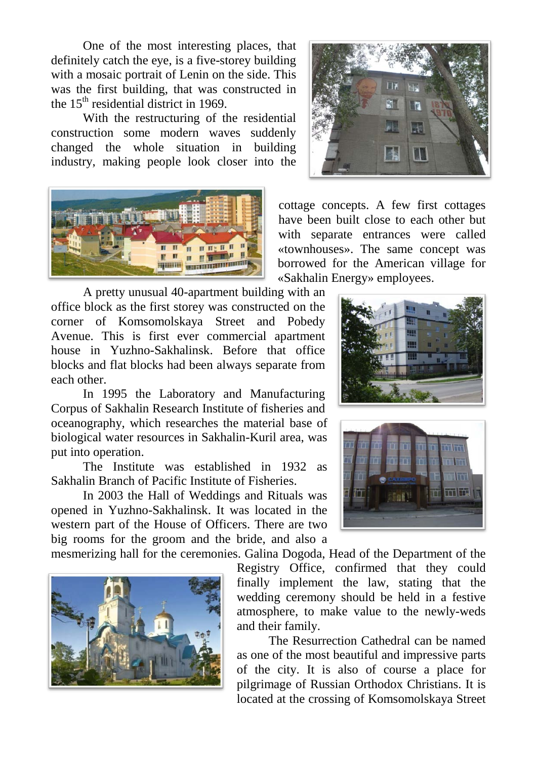One of the most interesting places, that definitely catch the eye, is a five-storey building with a mosaic portrait of Lenin on the side. This was the first building, that was constructed in the  $15<sup>th</sup>$  residential district in 1969.

With the restructuring of the residential construction some modern waves suddenly changed the whole situation in building industry, making people look closer into the



A pretty unusual 40-apartment building with an office block as the first storey was constructed on the corner of Komsomolskaya Street and Pobedy Avenue. This is first ever commercial apartment house in Yuzhno-Sakhalinsk. Before that office blocks and flat blocks had been always separate from each other.

In 1995 the Laboratory and Manufacturing Corpus of Sakhalin Research Institute of fisheries and oceanography, which researches the material base of biological water resources in Sakhalin-Kuril area, was put into operation.

The Institute was established in 1932 as Sakhalin Branch of Pacific Institute of Fisheries.

In 2003 the Hall of Weddings and Rituals was opened in Yuzhno-Sakhalinsk. It was located in the western part of the House of Officers. There are two big rooms for the groom and the bride, and also a

mesmerizing hall for the ceremonies. Galina Dogoda, Head of the Department of the





cottage concepts. A few first cottages have been built close to each other but with separate entrances were called «townhouses». The same concept was borrowed for the American village for «Sakhalin Energy» employees.





Registry Office, confirmed that they could finally implement the law, stating that the wedding ceremony should be held in a festive

and their family. The Resurrection Cathedral can be named as one of the most beautiful and impressive parts of the city. It is also of course a place for pilgrimage of Russian Orthodox Christians. It is located at the crossing of Komsomolskaya Street

atmosphere, to make value to the newly-weds